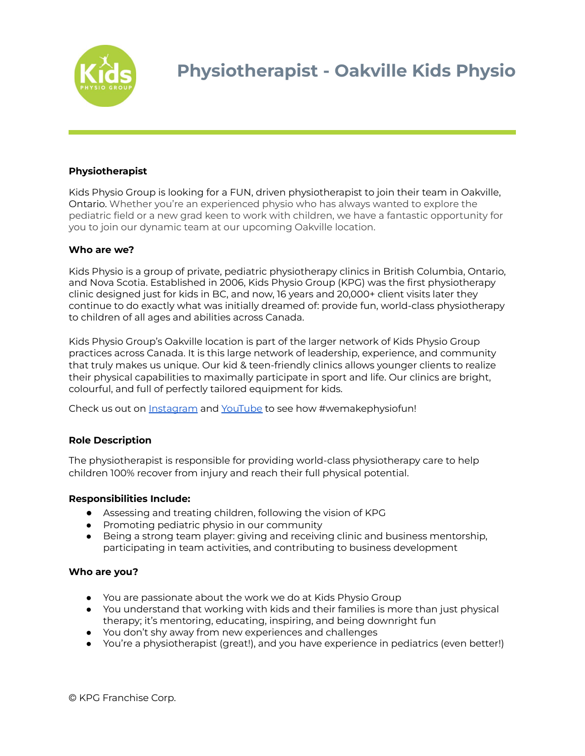

# **Physiotherapist**

Kids Physio Group is looking for a FUN, driven physiotherapist to join their team in Oakville, Ontario. Whether you're an experienced physio who has always wanted to explore the pediatric field or a new grad keen to work with children, we have a fantastic opportunity for you to join our dynamic team at our upcoming Oakville location.

### **Who are we?**

Kids Physio is a group of private, pediatric physiotherapy clinics in British Columbia, Ontario, and Nova Scotia. Established in 2006, Kids Physio Group (KPG) was the first physiotherapy clinic designed just for kids in BC, and now, 16 years and 20,000+ client visits later they continue to do exactly what was initially dreamed of: provide fun, world-class physiotherapy to children of all ages and abilities across Canada.

Kids Physio Group's Oakville location is part of the larger network of Kids Physio Group practices across Canada. It is this large network of leadership, experience, and community that truly makes us unique. Our kid & teen-friendly clinics allows younger clients to realize their physical capabilities to maximally participate in sport and life. Our clinics are bright, colourful, and full of perfectly tailored equipment for kids.

Check us out on [Instagram](http://www.instagram.com/kidsphysio) and [YouTube](https://www.youtube.com/watch?v=gppsyuSstbI) to see how #wemakephysiofun!

# **Role Description**

The physiotherapist is responsible for providing world-class physiotherapy care to help children 100% recover from injury and reach their full physical potential.

### **Responsibilities Include:**

- Assessing and treating children, following the vision of KPG
- Promoting pediatric physio in our community
- Being a strong team player: giving and receiving clinic and business mentorship, participating in team activities, and contributing to business development

### **Who are you?**

- You are passionate about the work we do at Kids Physio Group
- You understand that working with kids and their families is more than just physical therapy; it's mentoring, educating, inspiring, and being downright fun
- You don't shy away from new experiences and challenges
- You're a physiotherapist (great!), and you have experience in pediatrics (even better!)

© KPG Franchise Corp.